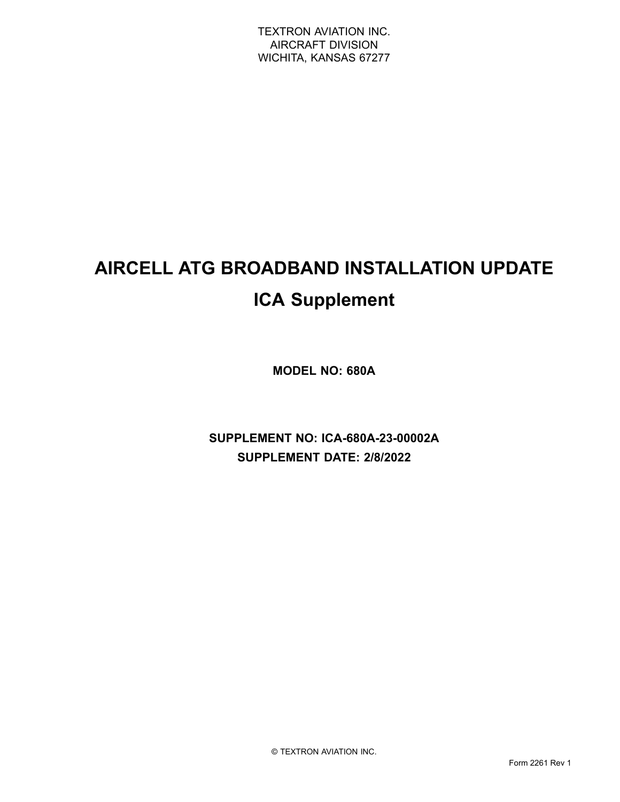# **AIRCELL ATG BROADBAND INSTALLATION UPDATE ICA Supplement**

**MODEL NO: 680A**

**SUPPLEMENT NO: ICA-680A-23-00002A SUPPLEMENT DATE: 2/8/2022**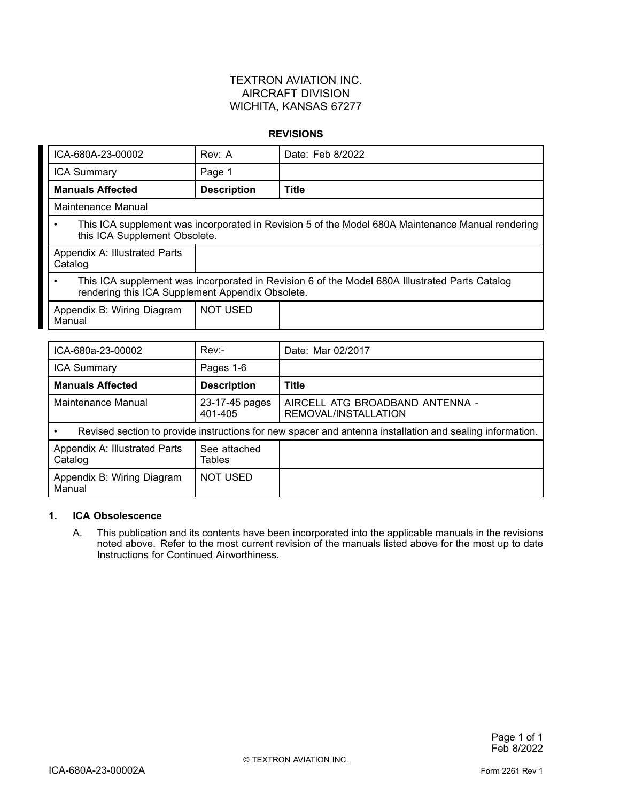#### TEXTRON AVIATION INC. AIRCRAFT DIVISION WICHITA, KANSAS 67277

#### **REVISIONS**

| ICA-680A-23-00002                                     | Rev: A             | Date: Feb 8/2022                                                                                  |
|-------------------------------------------------------|--------------------|---------------------------------------------------------------------------------------------------|
| <b>ICA Summary</b>                                    | Page 1             |                                                                                                   |
| <b>Manuals Affected</b>                               | <b>Description</b> | <b>Title</b>                                                                                      |
| Maintenance Manual                                    |                    |                                                                                                   |
| ٠<br>this ICA Supplement Obsolete.                    |                    | This ICA supplement was incorporated in Revision 5 of the Model 680A Maintenance Manual rendering |
| Appendix A: Illustrated Parts<br>Catalog              |                    |                                                                                                   |
| ٠<br>rendering this ICA Supplement Appendix Obsolete. |                    | This ICA supplement was incorporated in Revision 6 of the Model 680A Illustrated Parts Catalog    |
| Appendix B: Wiring Diagram<br>Manual                  | <b>NOT USED</b>    |                                                                                                   |
|                                                       |                    |                                                                                                   |
| ICA-680a-23-00002                                     | Rev:               | Date: Mar 02/2017                                                                                 |
| <b>ICA Summary</b>                                    | Pages 1-6          |                                                                                                   |
| . <i>. .</i>                                          | .                  |                                                                                                   |

| <b>Manuals Affected</b>                                                                                  | <b>Description</b>            | Title                                                   |
|----------------------------------------------------------------------------------------------------------|-------------------------------|---------------------------------------------------------|
| Maintenance Manual                                                                                       | 23-17-45 pages<br>401-405     | AIRCELL ATG BROADBAND ANTENNA -<br>REMOVAL/INSTALLATION |
| Revised section to provide instructions for new spacer and antenna installation and sealing information. |                               |                                                         |
| Appendix A: Illustrated Parts<br>Catalog                                                                 | See attached<br><b>Tables</b> |                                                         |
| Appendix B: Wiring Diagram<br>Manual                                                                     | NOT USED                      |                                                         |

#### **1. ICA Obsolescence**

A. This publication and its contents have been incorporated into the applicable manuals in the revisions noted above. Refer to the most current revision of the manuals listed above for the most up to date Instructions for Continued Airworthiness.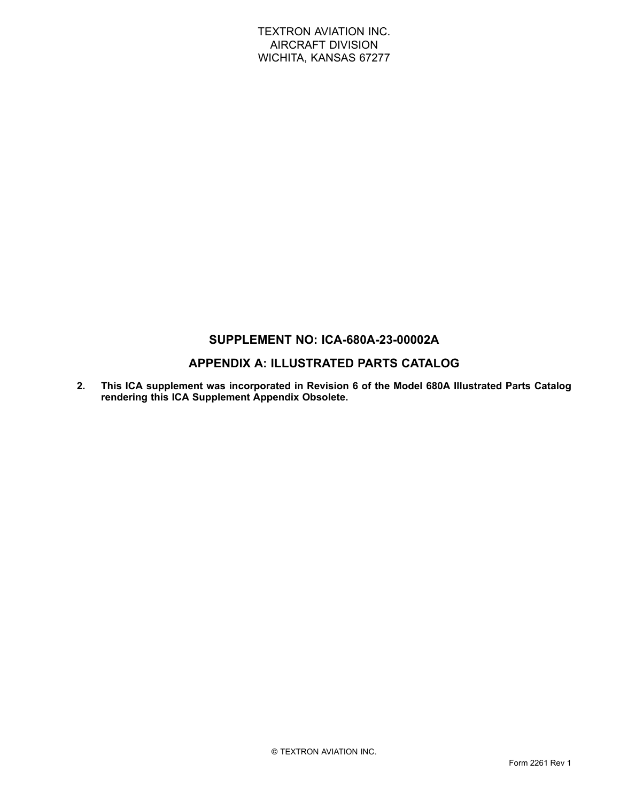#### TEXTRON AVIATION INC. AIRCRAFT DIVISION WICHITA, KANSAS 67277

### **SUPPLEMENT NO: ICA-680A-23-00002A**

### **APPENDIX A: ILLUSTRATED PARTS CATALOG**

**2. This ICA supplement was incorporated in Revision 6 of the Model 680A Illustrated Parts Catalog rendering this ICA Supplement Appendix Obsolete.**